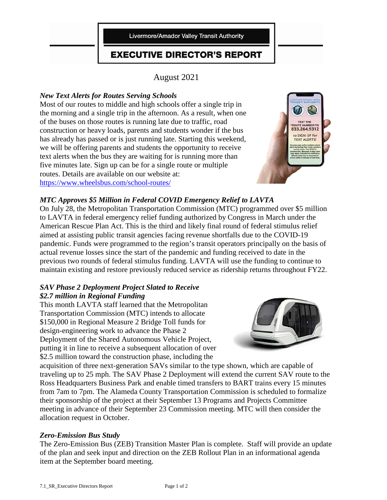Livermore/Amador Valley Transit Authority

# **EXECUTIVE DIRECTOR'S REPORT**

August 2021

# *New Text Alerts for Routes Serving Schools*

Most of our routes to middle and high schools offer a single trip in the morning and a single trip in the afternoon. As a result, when one of the buses on those routes is running late due to traffic, road construction or heavy loads, parents and students wonder if the bus has already has passed or is just running late. Starting this weekend, we will be offering parents and students the opportunity to receive text alerts when the bus they are waiting for is running more than five minutes late. Sign up can be for a single route or multiple routes. Details are available on our website at: <https://www.wheelsbus.com/school-routes/>



# *MTC Approves \$5 Million in Federal COVID Emergency Relief to LAVTA*

On July 28, the Metropolitan Transportation Commission (MTC) programmed over \$5 million to LAVTA in federal emergency relief funding authorized by Congress in March under the American Rescue Plan Act. This is the third and likely final round of federal stimulus relief aimed at assisting public transit agencies facing revenue shortfalls due to the COVID-19 pandemic. Funds were programmed to the region's transit operators principally on the basis of actual revenue losses since the start of the pandemic and funding received to date in the previous two rounds of federal stimulus funding. LAVTA will use the funding to continue to maintain existing and restore previously reduced service as ridership returns throughout FY22.

#### *SAV Phase 2 Deployment Project Slated to Receive \$2.7 million in Regional Funding*

This month LAVTA staff learned that the Metropolitan Transportation Commission (MTC) intends to allocate \$150,000 in Regional Measure 2 Bridge Toll funds for design-engineering work to advance the Phase 2 Deployment of the Shared Autonomous Vehicle Project, putting it in line to receive a subsequent allocation of over \$2.5 million toward the construction phase, including the



acquisition of three next-generation SAVs similar to the type shown, which are capable of traveling up to 25 mph. The SAV Phase 2 Deployment will extend the current SAV route to the Ross Headquarters Business Park and enable timed transfers to BART trains every 15 minutes from 7am to 7pm. The Alameda County Transportation Commission is scheduled to formalize their sponsorship of the project at their September 13 Programs and Projects Committee meeting in advance of their September 23 Commission meeting. MTC will then consider the allocation request in October.

#### *Zero-Emission Bus Study*

The Zero-Emission Bus (ZEB) Transition Master Plan is complete. Staff will provide an update of the plan and seek input and direction on the ZEB Rollout Plan in an informational agenda item at the September board meeting.